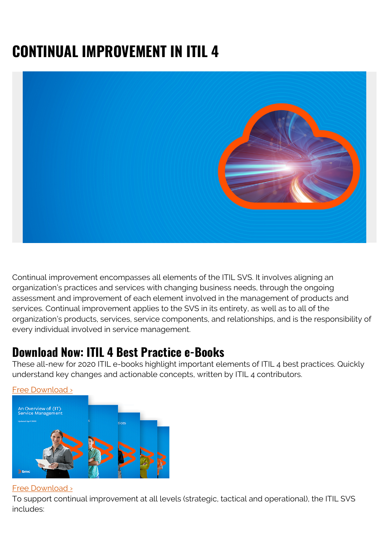# **CONTINUAL IMPROVEMENT IN ITIL 4**



Continual improvement encompasses all elements of the ITIL SVS. It involves aligning an organization's practices and services with changing business needs, through the ongoing assessment and improvement of each element involved in the management of products and services. Continual improvement applies to the SVS in its entirety, as well as to all of the organization's products, services, service components, and relationships, and is the responsibility of every individual involved in service management.

#### **Download Now: ITIL 4 Best Practice e-Books**

These all-new for 2020 ITIL e-books highlight important elements of ITIL 4 best practices. Quickly understand key changes and actionable concepts, written by ITIL 4 contributors.



#### [Free Download ›](https://www.bmc.com/forms/itil-free-ebook.html)

#### [Free Download ›](https://www.bmc.com/forms/itil-free-ebook.html)

To support continual improvement at all levels (strategic, tactical and operational), the ITIL SVS includes: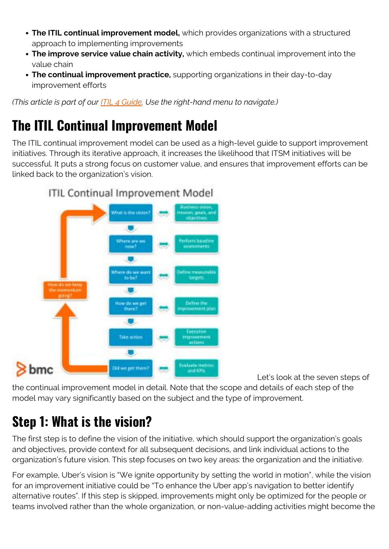- **The ITIL continual improvement model,** which provides organizations with a structured approach to implementing improvements
- **The improve service value chain activity,** which embeds continual improvement into the value chain
- **The continual improvement practice,** supporting organizations in their day-to-day improvement efforts

*(This article is part of our [ITIL 4 Guide](https://blogs.bmc.com/blogs/itil-4/). Use the right-hand menu to navigate.)*

#### **The ITIL Continual Improvement Model**

The ITIL continual improvement model can be used as a high-level guide to support improvement initiatives. Through its iterative approach, it increases the likelihood that ITSM initiatives will be successful. It puts a strong focus on customer value, and ensures that improvement efforts can be linked back to the organization's vision.



Let's look at the seven steps of

the continual improvement model in detail. Note that the scope and details of each step of the model may vary significantly based on the subject and the type of improvement.

#### **Step 1: What is the vision?**

The first step is to define the vision of the initiative, which should support the organization's goals and objectives, provide context for all subsequent decisions, and link individual actions to the organization's future vision. This step focuses on two key areas: the organization and the initiative.

For example, Uber's vision is "We ignite opportunity by setting the world in motion", while the vision for an improvement initiative could be "To enhance the Uber app's navigation to better identify alternative routes". If this step is skipped, improvements might only be optimized for the people or teams involved rather than the whole organization, or non-value-adding activities might become the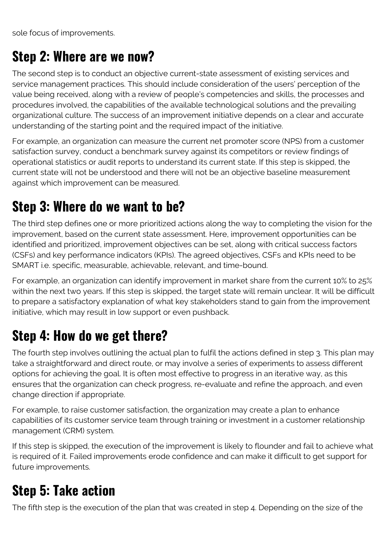sole focus of improvements.

#### **Step 2: Where are we now?**

The second step is to conduct an objective current-state assessment of existing services and service management practices. This should include consideration of the users' perception of the value being received, along with a review of people's competencies and skills, the processes and procedures involved, the capabilities of the available technological solutions and the prevailing organizational culture. The success of an improvement initiative depends on a clear and accurate understanding of the starting point and the required impact of the initiative.

For example, an organization can measure the current net promoter score (NPS) from a customer satisfaction survey, conduct a benchmark survey against its competitors or review findings of operational statistics or audit reports to understand its current state. If this step is skipped, the current state will not be understood and there will not be an objective baseline measurement against which improvement can be measured.

#### **Step 3: Where do we want to be?**

The third step defines one or more prioritized actions along the way to completing the vision for the improvement, based on the current state assessment. Here, improvement opportunities can be identified and prioritized, improvement objectives can be set, along with critical success factors (CSFs) and key performance indicators (KPIs). The agreed objectives, CSFs and KPIs need to be SMART i.e. specific, measurable, achievable, relevant, and time-bound.

For example, an organization can identify improvement in market share from the current 10% to 25% within the next two years. If this step is skipped, the target state will remain unclear. It will be difficult to prepare a satisfactory explanation of what key stakeholders stand to gain from the improvement initiative, which may result in low support or even pushback.

#### **Step 4: How do we get there?**

The fourth step involves outlining the actual plan to fulfil the actions defined in step 3. This plan may take a straightforward and direct route, or may involve a series of experiments to assess different options for achieving the goal. It is often most effective to progress in an iterative way, as this ensures that the organization can check progress, re-evaluate and refine the approach, and even change direction if appropriate.

For example, to raise customer satisfaction, the organization may create a plan to enhance capabilities of its customer service team through training or investment in a customer relationship management (CRM) system.

If this step is skipped, the execution of the improvement is likely to flounder and fail to achieve what is required of it. Failed improvements erode confidence and can make it difficult to get support for future improvements.

## **Step 5: Take action**

The fifth step is the execution of the plan that was created in step 4. Depending on the size of the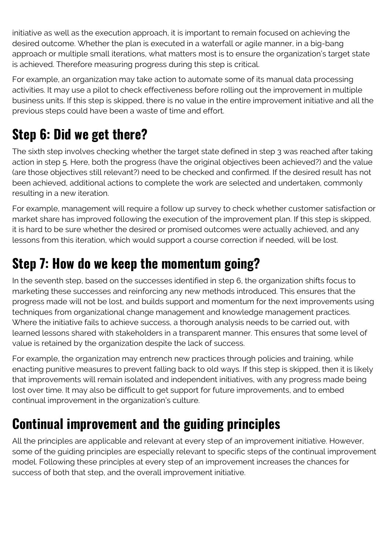initiative as well as the execution approach, it is important to remain focused on achieving the desired outcome. Whether the plan is executed in a waterfall or agile manner, in a big-bang approach or multiple small iterations, what matters most is to ensure the organization's target state is achieved. Therefore measuring progress during this step is critical.

For example, an organization may take action to automate some of its manual data processing activities. It may use a pilot to check effectiveness before rolling out the improvement in multiple business units. If this step is skipped, there is no value in the entire improvement initiative and all the previous steps could have been a waste of time and effort.

## **Step 6: Did we get there?**

The sixth step involves checking whether the target state defined in step 3 was reached after taking action in step 5. Here, both the progress (have the original objectives been achieved?) and the value (are those objectives still relevant?) need to be checked and confirmed. If the desired result has not been achieved, additional actions to complete the work are selected and undertaken, commonly resulting in a new iteration.

For example, management will require a follow up survey to check whether customer satisfaction or market share has improved following the execution of the improvement plan. If this step is skipped, it is hard to be sure whether the desired or promised outcomes were actually achieved, and any lessons from this iteration, which would support a course correction if needed, will be lost.

#### **Step 7: How do we keep the momentum going?**

In the seventh step, based on the successes identified in step 6, the organization shifts focus to marketing these successes and reinforcing any new methods introduced. This ensures that the progress made will not be lost, and builds support and momentum for the next improvements using techniques from organizational change management and knowledge management practices. Where the initiative fails to achieve success, a thorough analysis needs to be carried out, with learned lessons shared with stakeholders in a transparent manner. This ensures that some level of value is retained by the organization despite the lack of success.

For example, the organization may entrench new practices through policies and training, while enacting punitive measures to prevent falling back to old ways. If this step is skipped, then it is likely that improvements will remain isolated and independent initiatives, with any progress made being lost over time. It may also be difficult to get support for future improvements, and to embed continual improvement in the organization's culture.

## **Continual improvement and the guiding principles**

All the principles are applicable and relevant at every step of an improvement initiative. However, some of the guiding principles are especially relevant to specific steps of the continual improvement model. Following these principles at every step of an improvement increases the chances for success of both that step, and the overall improvement initiative.